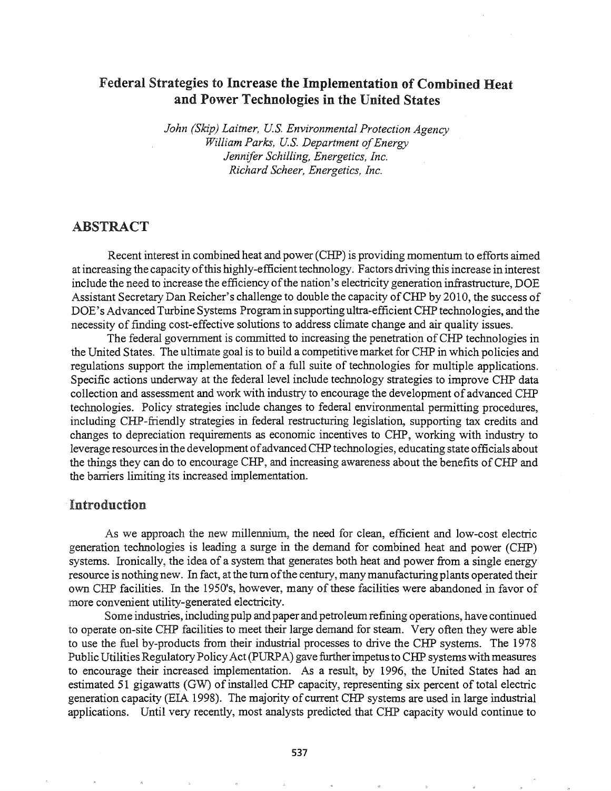# Federal Strategies to Increase the Implementation of Combined Heat and Power Technologies in the United States

*John (Skip) Laitner, U.S. Environmental Protection Agency William Parks, U.S. Department of Energy Jennifer Schilling, Energetics, Inc. Richard Scheer, Energetics, Inc.*

# ABSTRACT

Recent interest in combined heat and power (CHP) is providing momentum to efforts aimed at increasing the capacity of this highly-efficient technology. Factors driving this increase in interest include the need to increase the efficiency of the nation's electricity generation infrastructure, DOE Assistant Secretary Dan Reicher's challenge to double the capacity of CHP by 2010, the success of DOE's Advanced Turbine Systems Programin supporting ultra-efficient CHP technologies, and the necessity of finding cost-effective solutions to address climate change and air quality issues.

The federal government is committed to increasing the penetration of CHP technologies in the United States. The ultimate goal is to build a competitive market for CHP in which policies and regulations support the implementation of a full suite of technologies for multiple applications. Specific actions underway at the federal level include technology strategies to improve CHP data collection and assessment and work with industry to encourage the development of advanced CHP technologies. Policy strategies include changes to federal environmental permitting procedures, including CHP-friendly strategies in federal restructuring legislation, supporting tax credits and changes to depreciation requirements as economic incentives to CHP, working with industry to leverage resources in the development of advanced CHP technologies, educating state officials about the things they can do to encourage CHP, and increasing awareness about the benefits ofCHP and the barriers limiting its increased implementation.

### .Introduction

As we approach the new millennium, the need for clean, efficient and low-cost electric generation technologies is leading a surge in the demand for combined heat and power (CHP) systems. Ironically, the idea of a system that generates both heat and power from a single energy resource is nothing new. In fact, at the turn of the century, many manufacturing plants operated their own CHP facilities. In the 1950's, however, many of these facilities were abandoned in favor of more convenient utility-generated electricity.

Some industries, includingpulp and paper and petroleumrefining operations, have continued to operate on-site CHP facilities to meet their large demand for steam. Very often they were able to use the fuel by-products from their industrial-processes to drive the CHP systems. The 1978 Public Utilities Regulatory Policy Act (PURPA) gave further impetus to CHP systems with measures to encourage their increased implementation. As a result, by 1996, the United States had an estimated 51 gigawatts (GW) of installed CHP capacity, representing six percent of total electric generation capacity (EIA 1998). The majority of current CHP systems are used in large industrial applications. Until very recently, most analysts predicted that CHP capacity would continue to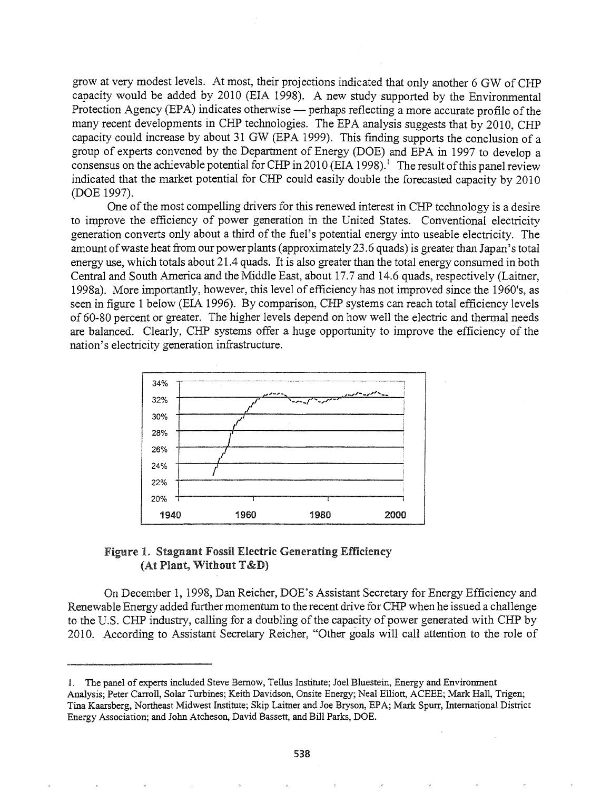grow at very modest levels. At most, their projections indicated that only another 6 GW of CHP capacity would be added by 2010 (EIA 1998). A new study supported by the Environmental Protection Agency (EPA) indicates otherwise - perhaps reflecting a more accurate profile of the many recent developments in CHP technologies. The EPA analysis suggests that by 2010, CHP capacity could increase by about 31 GW (EPA 1999). This finding supports the conclusion of a group of experts convened by the Department of Energy (DOE) and EPA in 1997 to develop a consensus on the achievable potential for CHP in 2010 (EIA 1998).<sup>1</sup> The result of this panel review indicated that the market potential for CHP could easily double the forecasted capacity by 2010 (DOE 1997).

One of the most compelling drivers for this renewed interest in CHP technology is a desire to improve the efficiency of power generation in the United States. Conventional electricity generation converts only about a third of the fuel's potential energy into useable electricity. The amount of waste heat from our power plants (approximately 23.6 quads) is greater than Japan's total energy use, which totals about 21.4 quads. It is also greater than the total energy consumed in both Central and South America and the Middle East, about 17.7 and 14.6 quads, respectively (Laitner, 1998a). More importantly, however, this level of efficiency has not improved since the 1960's, as seen in figure 1 below (EIA 1996). By comparison, CHP systems can reach total efficiency levels of 60-80 percent or greater. The higher levels depend on how well the electric and thermal needs are balanced. Clearly, CHP systems offer a huge opportunity to improve the efficiency of the nation's electricity generation infrastructure.



## Figure 1. Stagnant Fossil Electric Generating Efficiency (At Plant, Without T&D)

On December 1, 1998, Dan Reicher, DOE's Assistant Secretary for Energy Efficiency and Renewable Energy added further momentum to the recent drive for CHP when he issued a challenge to the U.S. CHP industry, calling for a doubling of the capacity of power generated with CHP by 2010. According to Assistant Secretary Reicher, "Other goals will call attention to the role of

<sup>1.</sup> The panel of experts included Steve Bemow, Tellus Institute; Joel Bluestein, Energy and Environment Analysis; Peter Carroll, Solar Turbines; Keith Davidson, Onsite Energy; Neal Elliott, ACEEE; Mark Hall, Trigen; Tina Kaarsberg, Northeast Midwest Institute; Skip Laitner and Joe Bryson, EPA; Mark Spurr, International District Energy Association; and John Atcheson, David Bassett, and Bill Parks, DOE.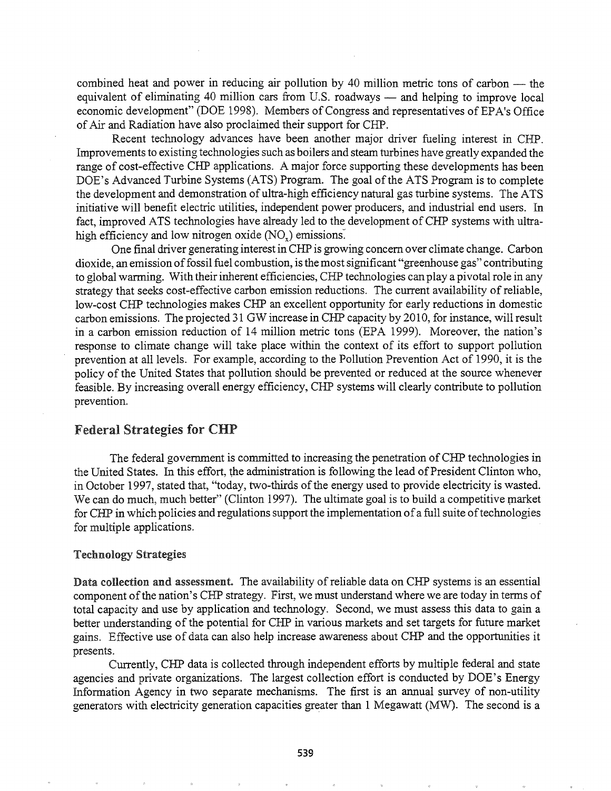combined heat and power in reducing air pollution by 40 million metric tons of carbon  $-$  the equivalent of eliminating 40 million cars from U.S. roadways  $-$  and helping to improve local economic development" (DOE 1998). Members of Congress and representatives of EPA's Office of Air and Radiation have also proclaimed their support for CHP.

Recent technology advances have been another major driver fueling interest in CHP. Improvements to existing technologies such as boilers and steam turbines have greatly expanded the range of cost-effective CHP applications. A major force supporting these developments has been DOE's Advanced Turbine Systems (ATS) Program. The goal of the ATS Program is to complete the development and demonstration of ultra-high efficiency natural gas turbine systems. The ATS initiative will benefit electric utilities, independent power producers, and industrial end users. In fact, improved ATS technologies have already led to the development ofCHP systems with ultrahigh efficiency and low nitrogen oxide  $(NO_x)$  emissions.

One final driver generating interest in CHP is growing concern over climate change. Carbon dioxide, an emission of fossil fuel combustion, is the most significant "greenhouse gas" contributing to global warming. With their inherent efficiencies, CHP technologies can playa pivotal role in any strategy that seeks cost-effective carbon emission reductions. The current availability ofreliable, low-cost CHP technologies makes CHP an excellent opportunity for early reductions in domestic carbon emissions. The projected 31 GW increase in CHP capacity by 2010, for instance, will result in a carbon emission reduction of 14 million metric tons (EPA 1999). Moreover, the nation's response to climate change will take place within the context of its effort to support pollution prevention at all levels. For example, according to the Pollution Prevention Act of 1990, it is the policy of the United States that pollution should be prevented or reduced at the source whenever feasible. By increasing overall energy efficiency, CHP systems will clearly contribute to pollution prevention.

# Federal Strategies for CHP

The federal government is committed to increasing the penetration ofCHP technologies in the United States. In this effort, the administration is following the lead of President Clinton who, in October 1997, stated that, "today, two-thirds of the energy used to provide electricity is wasted. We can do much, much better" (Clinton 1997). The ultimate goal is to build a competitive market for CHP in which policies and regulations support the implementation of a full suite of technologies for multiple applications.

#### Technology Strategies

Data collection and assessment. The availability of reliable data on CHP systems is an essential component of the nation's CHP strategy. First, we must understand where we are today in terms of total capacity and use by application and technology. Second, we must assess this data to gain a better understanding of the potential for CHP in various markets and set targets for future market gains. Effective use of data can also help increase awareness about CHP and the opportunities it presents..

Currently, CHP data is collected through independent efforts by multiple federal and state agencies and private organizations. The largest collection effort is conducted by DOE's Energy Information Agency in two separate mechanisms. The first is an annual survey of non-utility generators with electricity generation capacities greater than 1 Megawatt (MW). The second is a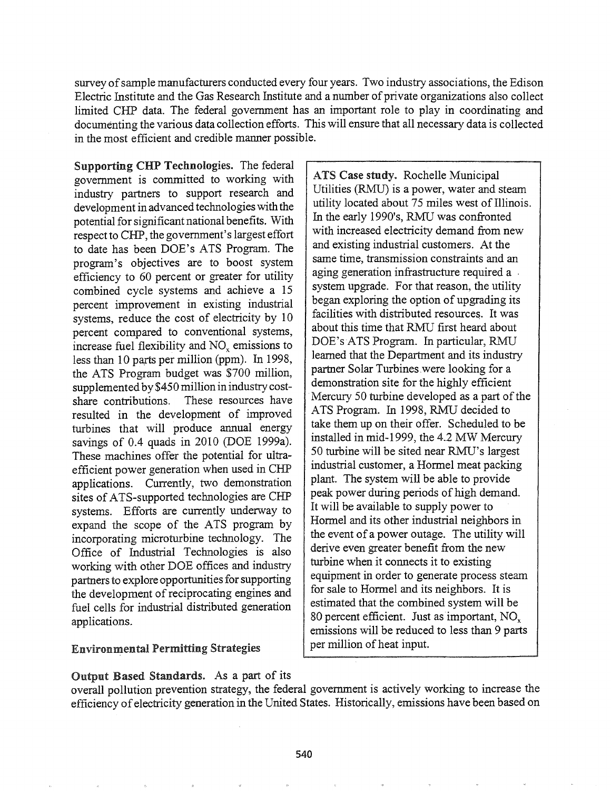survey of sample manufacturers conducted every four years. Two industry associations, the Edison Electric Institute and the Gas Research Institute and a number of private organizations also collect limited CHP data. The federal government has an important role to play in coordinating and documenting the various data collection efforts. This will ensure that all necessary data is collected in the most efficient and credible manner possible.

Supporting CHP Technologies. The federal government is committed to working with industry partners to support research and development in advanced technologies with the potential for significant national benefits. With respect to CHP, the government's largest effort to date has been DOE's ATS Program. The program's objectives are to boost system efficiency to 60 percent or greater for utility combined cycle systems and achieve a 15 percent improvement in existing industrial systems, reduce the cost of electricity by 10 percent compared to conventional systems, increase fuel flexibility and  $NO<sub>x</sub>$  emissions to less than 10 parts per million (ppm). In 1998, the ATS Program budget was \$700 million, supplemented by \$450 million in industry costshare contributions. These resources have resulted in the development of improved turbines that will produce annual energy savings of 0.4 quads in 2010 (DOE 1999a). These machines offer the potential for ultraefficient power generation when used in CHP applications. Currently, two demonstration sites of ATS-supported technologies are CHP systems. Efforts are currently underway to expand the scope of the ATS program by incorporating microturbine technology. The Office of Industrial Technologies is also working with other DOE offices and industry partners to explore opportunities for supporting the development of reciprocating engines and fuel cells for industrial distributed generation applications.

### **Environmental Permitting Strategies**

Output Based Standards. As a part of its

ATS Case study. Rochelle Municipal Utilities (RMU) is a power, water and steam utility located about 75 miles west of Illinois. In the early 1990's, RMU was confronted with increased electricity demand from new and existing industrial customers. At the same time, transmission constraints and an aging generation infrastructure required a . system upgrade. For that reason, the utility began exploring the option of upgrading its facilities with distributed resources. It was about this time that RMU first heard about DOE's ATS Program. In particular, RMU learned that the Department and its industry partner Solar Turbines,were looking for a demonstration site for the highly efficient Mercury 50 turbine developed as a part of the ATS Program. In 1998, RMU decided to take them up on their offer. Scheduled to be installed in mid-1999, the 4.2 MW Mercury 50 turbine will be sited near RMU's largest industrial customer, a Hormel meat packing plant. The system will be able to provide peak power during periods of high demand. It will be available to supply power to Honnel and its other industrial neighbors *in* the event of a power outage. The utility will derive even greater benefit from the new turbine when it connects it to existing equipment in order to generate process steam for sale to Hormel and its neighbors. It is estimated that the combined system will be 80 percent efficient. Just as important, NO. emissions will be reduced to less than 9 parts per million of heat input.

overall pollution prevention strategy, the federal government is actively working to increase the efficiency of electricity generation in the United States. Historically, emissions have been based on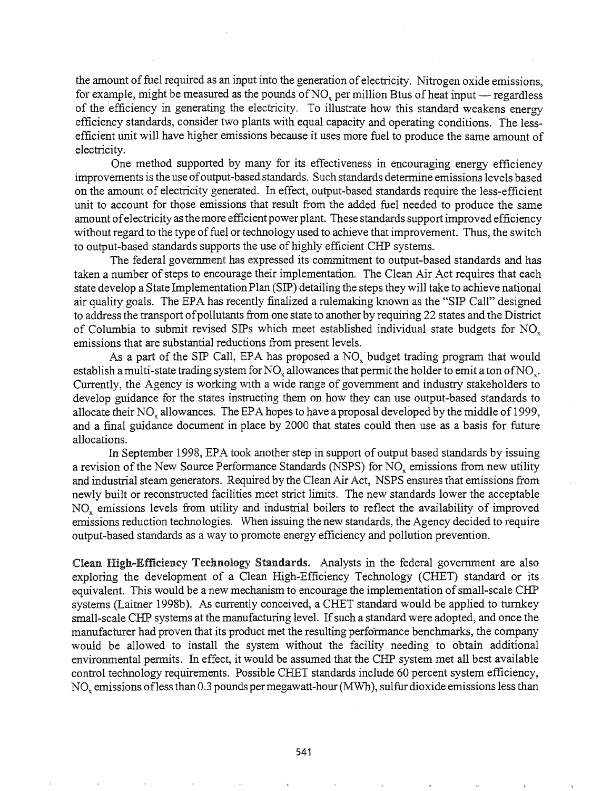the amount of fuel required as an input into the generation of electricity. Nitrogen oxide emissions, for example, might be measured as the pounds of  $NO<sub>x</sub>$  per million Btus of heat input - regardless of the efficiency in generating the electricity. To illustrate how this standard weakens energy efficiency standards, consider two plants with equal capacity and operating conditions. 'The lessefficient unit will have higher emissions because it uses more fuel to produce the same amount of electricity.

One method supported by many for its effectiveness in encouraging energy efficiency improvements is the use of output-based standards. Such standards determine emissions levels based on the amount of electricity generated. In effect, output-based standards require the less-efficient unit to account for those emissions that result from the added fuel needed to produce the same amount of electricity as the more efficient power plant. These standards support improved efficiency without regard to the type of fuel or technology used to achieve that improvement. Thus, the switch to output-based standards supports the use of highly efficient CHP systems.

The federal government has expressed its commitment to output-based standards and has taken a number of steps to encourage their implementation. The Clean Air Act requires that each state develop a State Implementation Plan (SIP) detailing the steps they will take to achieve national air quality goals. The EPA has recently finalized a rulemaking known as the "SIP Call" designed to address the transport of pollutants from one state to another by requiring 22 states and the District of Columbia to submit revised SIPs which meet established individual state budgets for NO<sub>x</sub> emissions that are substantial reductions from present levels.

As a part of the SIP Call, EPA has proposed a  $NO<sub>x</sub>$  budget trading program that would establish a multi-state trading system for NO<sub>x</sub> allowances that permit the holder to emit a ton of NO<sub>x</sub>. Currently, the Agency is working with a wide range of government and industry stakeholders to develop guidance for the states instructing them on how they can use output-based standards to allocate their NO<sub>x</sub> allowances. The EPA hopes to have a proposal developed by the middle of 1999, and a final guidance document in place by 2000 that states could then use as a basis for future allocations.

In September 1998, EPA took another step in support of output based standards by issuing a revision of the New Source Performance Standards (NSPS) for  $NO<sub>x</sub>$  emissions from new utility and industrial steam generators. Required by the Clean Air Act, NSPS ensures that emissions from newly built or reconstructed facilities meet strict limits. The new standards lower the acceptable NO<sub>x</sub> emissions levels from utility and industrial boilers to reflect the availability of improved emissions reduction technologies. When issuing the new standards, the Agency decided to require output-based standards as a way to promote energy efficiency and pollution prevention.

Clean High-Efficiency Technology Standards. Analysts in the federal government are also exploring the development of a Clean High-Efficiency Technology (CHET) standard or its equivalent. This would be a new mechanism to encourage the implementation of small-scale CHP systems (Laitner 1998b). As currently conceived, a CHET standard would be applied to turnkey small-scale CHP systems at the manufacturing level. If such a standard were adopted, and once the manufacturer had proven that its product met the resulting performance benchmarks, the company would be allowed to install the system without the facility needing to obtain additional environmental permits. In effect, it would be assumed that the CHP system met all best available control technology requirements. Possible CHET standards include 60 percent system efficiency, NO<sub>x</sub> emissions of less than 0.3 pounds per megawatt-hour (MWh), sulfur dioxide emissions less than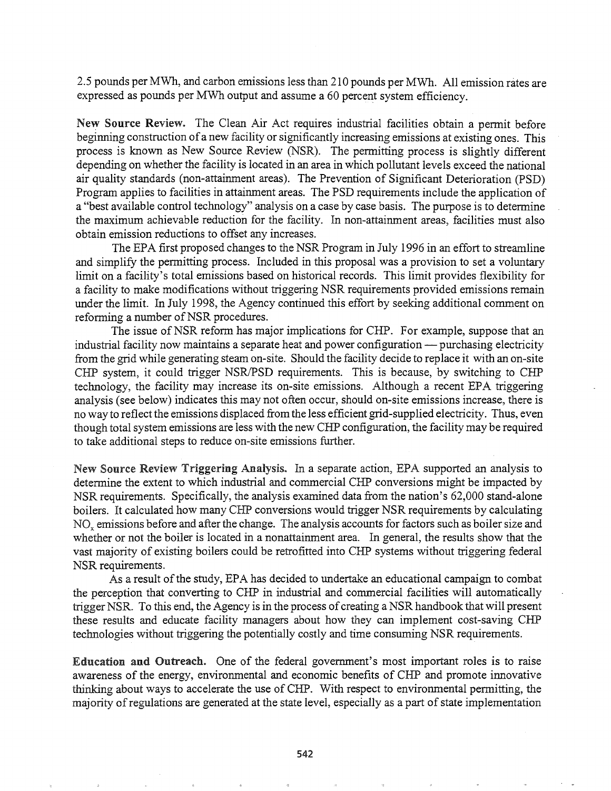2.5 pounds per MWh, and carbon emissions less than 210 pounds per MWh. All emission rates are expressed as pounds per MWh output and assume a 60 percent system efficiency.

New Source Review. The Clean Air Act requires industrial facilities obtain a permit before beginning construction of a new facility or significantly increasing emissions at existing ones. This process is known as New Source Review (NSR). The permitting process is slightly different depending on whether the facility is located in an area in which pollutant levels exceed the national air quality standards (non-attainment areas). The Prevention of Significant Deterioration (PSD) Program applies to facilities in attainment areas. The PSD requirements include the application of a "best available control technology" analysis on a case by case basis. The purpose is to determine the maximum achievable reduction for the facility. In non-attainment areas, facilities must also obtain emission reductions to offset any increases.

The EPA first proposed changes to the NSR Program in July 1996 in an effort to streamline and simplify the pennitting process. Included in this proposal was a provision to set a voluntary limit on a facility's total emissions based on historical records. This limit provides flexibility for a facility to make modifications without triggering NSR requirements provided emissions remain under the limit. In July 1998, the Agency continued this effort by seeking additional comment on reforming a number of NSR procedures.

The issue of NSR reform has major implications for CHP. For example, suppose that an industrial facility now maintains a separate heat and power configuration — purchasing electricity from the grid while generating steam on-site. Should the facility decide to replace it with an on-site CHP system, it could trigger NSR/PSD requirements. This is because, by switching to CHP technology, the facility may increase its on-site emissions. Although a recent EPA triggering analysis (see below) indicates this may not often occur, should on-site emissions increase, there is no way to reflect the emissions displaced from the less efficient grid-supplied electricity. Thus, even though total system emissions are less with the new CHP configuration, the facility may be required to take additional steps to reduce on-site emissions further.

New Source Review Triggering Analysis~ In a separate action, EPA supported an analysis to determine the extent to which industrial and commercial CHP conversions might be impacted by NSR requirements. Specifically, the analysis examined data from the nation's 62,000 stand-alone boilers. It calculated how many CHP conversions would trigger NSR requirements by calculating NO<sub>x</sub> emissions before and after the change. The analysis accounts for factors such as boiler size and whether or not the boiler is located in a nonattainment area. In general, the results show that the vast majority of existing boilers could be retrofitted into CHP systems without triggering federal NSR requirements.

As a result ofthe study, EPA has decided to undertake an educational campaign to combat the perception that converting to CHP in industrial and commercial facilities will automatically trigger NSR. To this end, the Agency is in the process ofcreating a NSR handbook that will present these results and educate facility managers about how they can implement cost-saving CHP technologies without triggering the potentially costly and time consuming NSR requirements.

Education and Outreach. One of the federal government's most important roles is to raise awareness of the energy, environmental and economic benefits of CHP and promote innovative thinking about ways to accelerate the use of CHP. With respect to environmental permitting, the majority of regulations are generated at the state level, especially as a part of state implementation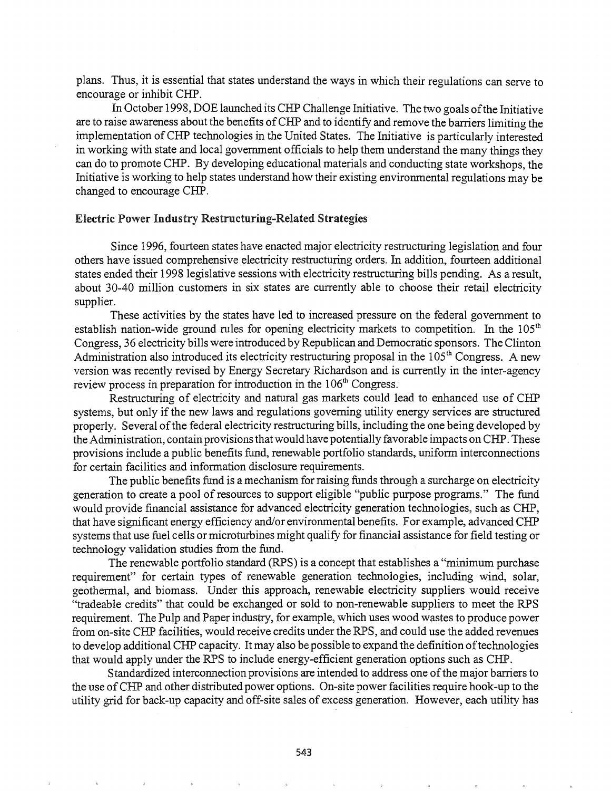plans. Thus, it is essential that states understand the ways in which their regulations can serve to encourage or inhibit CHP.

In October 1998, DOE launched its CHP Challenge Initiative. The two goals ofthe Initiative are to raise awareness about the benefits of CHP and to identify and remove the barriers limiting the implementation ofCHP technologies in the United States. The Initiative is particularly interested in working with state and local government officials to help them understand the many things they can do to promote CHP. By developing educational materials and conducting state workshops, the Initiative is working to help states understand how their existing environmental regulations may be changed to encourage CHP.

#### Electric Power Industry Restructuring-Related Strategies

Since 1996, fourteen states have enacted major electricity restructuring legislation and four others have issued comprehensive electricity restructuring orders. In addition, fourteen additional states ended their 1998 legislative sessions with electricity restructuring bills pending. As a result, about 30-40 million customers in six states are currently able to choose their retail electricity supplier.

These activities by the states have led to increased pressure on the federal government to establish nation-wide ground rules for opening electricity markets to competition. In the  $105<sup>th</sup>$ Congress, 36 electricity bills were introduced by Republican and Democratic sponsors. The Clinton Administration also introduced its electricity restructuring proposal in the  $105<sup>th</sup>$  Congress. A new version was recently revised by Energy Secretary Richardson and is currently in the inter-agency review process in preparation for introduction in the  $106<sup>th</sup>$  Congress.

Restructuring of electricity and natural gas markets could lead to enhanced use of CHP systems, but only if the new laws and regulations governing utility energy services are structured properly. Several ofthe federal electricity restructuring bills, including the one being developed by the Administration, contain provisions that would have potentially favorable impacts on CHP. These provisions include a public benefits fund, renewable portfolio standards, uniform interconnections for certain facilities and information disclosure requirements.

The public benefits fund is a mechanism for raising funds through a surcharge on electricity generation to create a pool of resources to support eligible "public purpose programs." The fund would provide financial assistance for advanced electricity generation technologies, such as CHP, that have significant energy efficiency and/or environmental benefits. For example, advanced CHP systems that use fuel cells or microturbines might qualify for financial assistance for field testing or technology validation studies from the fund.

The renewable portfolio standard (RPS) is a concept that establishes a "minimum purchase requirement" for certain types of renewable generation technologies, including wind, solar, geothennal, and biomass. Under this approach, renewable electricity suppliers would receive "tradeable credits" that could be exchanged or sold to non-renewable suppliers to meet the RPS requirement. The Pulp and Paper industry, for example, which uses wood wastes to produce power from on-site CHP facilities, would receive credits under the RPS, and could use the added revenues to develop additional CHP capacity. It may also be possible to expand the definition of technologies that would apply under the RPS to include energy-efficient generation options such as CHP.

Standardized interconnection provisions are intended to address one of the major barriers to the use of CHP and other distributed power options. On-site power facilities require hook-up to the utility grid for back-up capacity and off-site sales of excess generation. However, each utility has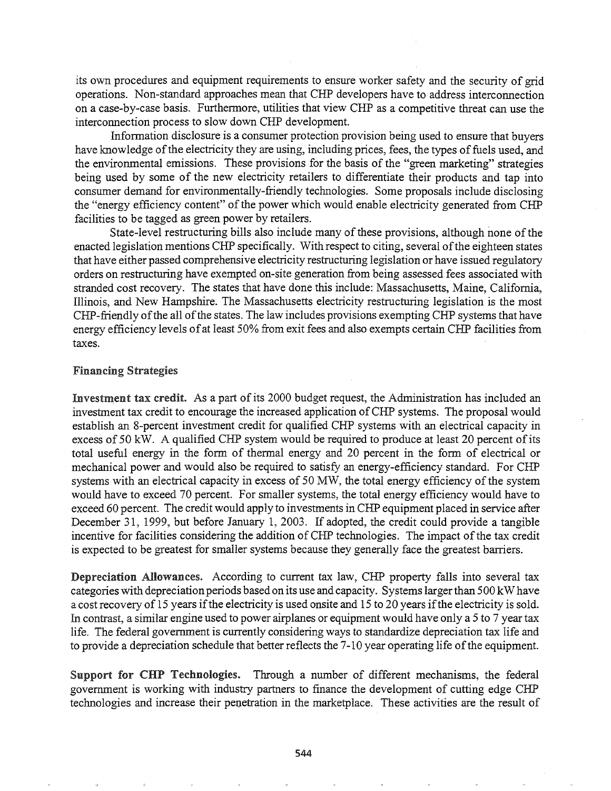its own procedures and equipment requirements to ensure worker safety and the security of grid operations. Non-standard approaches mean that CHP developers have to address interconnection on a case-by-case basis. Furthermore, utilities that view CHP as a competitive threat can use the interconnection process to slow down CHP development.

Information disclosure is a consumer protection provision being used to ensure that buyers have knowledge of the electricity they are using, including prices, fees, the types of fuels used, and the environmental emissions. These provisions for the basis of the "green marketing" strategies being used by some of the new electricity retailers to differentiate their products and tap into consumer demand for environmentally-friendly technologies. Some proposals include disclosing the "energy efficiency content" of the power which would enable electricity generated from CHP facilities to be tagged as green power by retailers.

State-level restructuring bills also include many of these provisions, although none of the enacted legislation mentions CHP specifically. With respect to citing, several of the eighteen states that have either passed comprehensive electricity restructuring legislation or have issued regulatory orders on restructuring have exempted on-site generation from being assessed fees associated with stranded.cost recovery. The states that have done this include: Massachusetts, Maine, California, Illinois, and New Hampshire. The Massachusetts electricity restructuring legislation is the most CHP-friendly of the all of the states. The law includes provisions exempting CHP systems that have energy efficiency levels ofat least 50% from exit fees and also exempts certain CHP facilities from taxes.

#### Financing Strategies

Investment tax credit. As a part of its 2000 budget request, the Administration has included an investment tax credit to encourage the increased application of CHP systems. The proposal would establish an 8-percent investment credit for qualified CHP systems with an electrical capacity in excess of 50 kW. A qualified CHP system would be required to produce at least 20 percent of its total useful energy in the form of thermal energy and 20 percent in the form of electrical or mechanical power and would also be required to satisfy an energy-efficiency standard. For CHP systems with an electrical capacity in excess of 50 MW, the total energy efficiency of the system would have to exceed 70 percent. For smaller systems, the total energy efficiency would have to exceed 60 percent. The credit would apply to investments in CHP equipment placed in service after December 31, 1999, but before January 1, 2003. If adopted, the credit could provide a tangible incentive for facilities considering the addition of CHP technologies. The impact of the tax credit is expected to be greatest for smaller systems because they generally face the greatest barriers.

Depreciation Allowances. According to current tax law, CHP property falls into several tax categories with depreciation periods based on its use and capacity. Systems larger than 500 kW have a cost recovery of 15 years if the electricity is used onsite and 15 to 20 years if the electricity is sold. In contrast, a similar engine used to power airplanes or equipment would have only a 5 to 7 year tax life. The federal government is currently considering ways to standardize depreciation tax life and to provide a depreciation schedule that better reflects the 7-10 year operating life of the equipment.

Support for CHP Technologies. Through a number of different mechanisms, the federal government is working with industry partners to finance the development of cutting edge CHP technologies and increase their penetration in the marketplace. These activities are the result of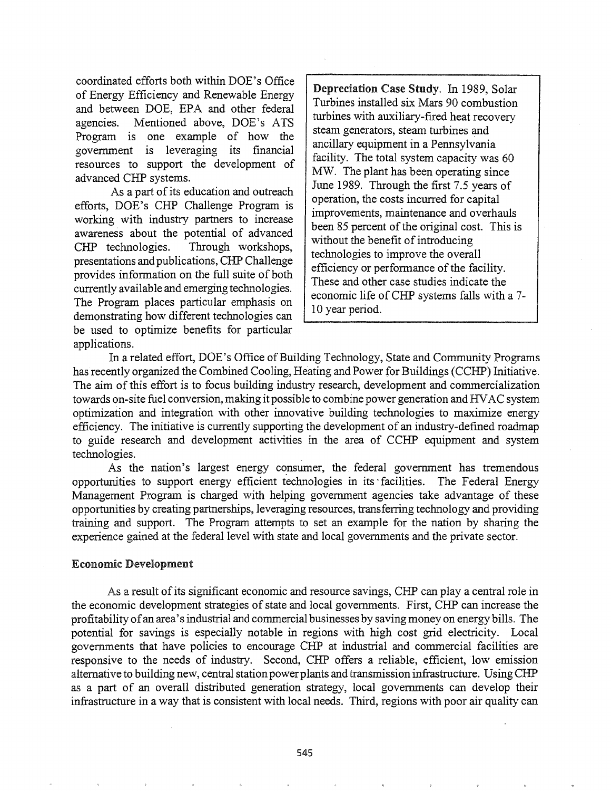coordinated efforts both within DOE's Office of Energy Efficiency and Renewable Energy and between DOE, EPA and other federal agencies. Mentioned above, DOE's ATS Program is one example of how the government is leveraging its fmancial resources to support the development of advanced CHP systems.

As a part of its education and outreach efforts, DOE's CHP Challenge Program is working with industry partners to increase awareness about the potential of advanced CHP technologies. Through workshops, presentations and publications, CHP Challenge provides information on the full suite of both currently available and emerging technologies. The Program places particular emphasis on demonstrating how different technologies can be used to optimize benefits for particular applications.

Depreciation Case Study. In 1989, Solar Turbines installed six Mars 90 combustion turbines with auxiliary-fired heat recovery steam generators, steam turbines and ancillary equipment in a Pennsylvania facility. The total system capacity was 60 MW. The plant has been operating since June 1989. Through the first 7.5 years of operation, the costs incurred for capital improvements, maintenance and overhauls been 85 percent of the original cost. This is without the benefit of introducing technologies to improve the overall efficiency or performance of the facility. These and other case studies indicate the economic life of CHP systems falls with a 7-10 year period.

In a related effort, DOE's Office of Building Technology, State and Community Programs has recently organized the Combined Cooling, Heating and Power for Buildings (CCHP) Initiative. The aim of this effort is to focus building industry research, development and commercialization towards on-site fuel conversion, making it possible to combine power generation and HVAC system optimization and integration with other innovative building technologies to maximize energy efficiency. The initiative is currently supporting the development of an industry-defined roadmap to guide research and development activities in the area of CCHP equipment and system technologies. .

As the nation's largest energy consumer, the federal government has tremendous opportunities to support energy efficient technologies in its -facilities. The Federal Energy Management Program is charged with helping government agencies take advantage of these opportunities by creating partnerships, leveraging resources, transferring technology and providing training and support. The Program attempts to set an example for the nation by sharing the experience gained at the federal level with state and local governments and the private sector.

#### Economic Development

As a result of its significant economic and resource savings, CHP can play a central role in the economic development strategies of state and local governments. First, CHP can increase the profitability of an area's industrial and commercial businesses by saving money on energy bills. The potential for savings is especially notable in regions with high cost grid electricity. Local governments that have policies to encourage CHP at industrial and commercial facilities are responsive to the needs of industry. Second, CHP offers a reliable, efficient, 'low emission alternative to building new, central station powerplants and transmission infrastructure. Using CHP as a part of an overall distributed generation strategy, local governments can develop their infrastructure in a way that is consistent with local needs. Third, regions with poor air quality can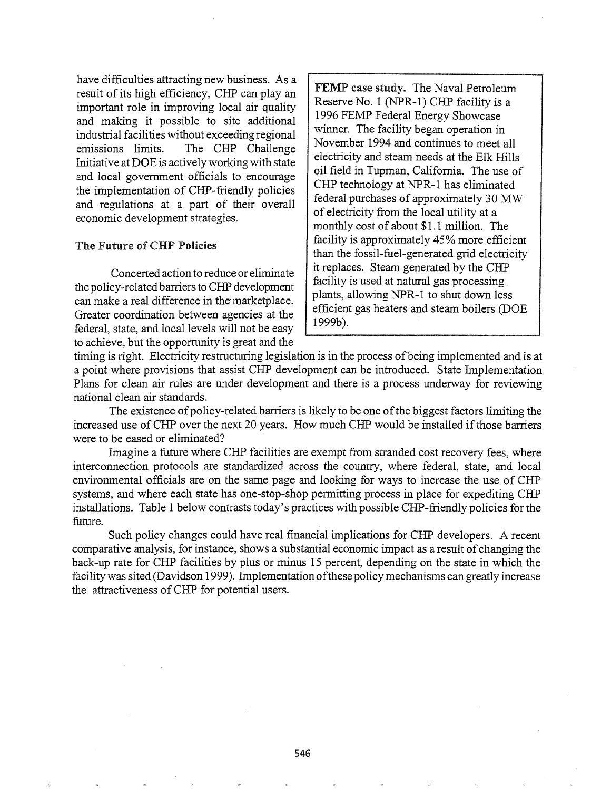have difficulties attracting new business. As a result of its high efficiency, CHP can play an important role in improving local air quality and making it possible to site additional industrial facilities without exceeding regional emissions limits. The CHP Challenge Initiative at DOE is actively working with state and local government officials to encourage the implementation of CHP-friendly policies and regulations at a part of their overall economic development strategies.

#### The Future of CHP Policies

Concerted action to reduce or eliminate the policy-related barriers to CHP development can make a real difference in the marketplace. Greater coordination between agencies at the federal, state, and local levels will not be easy to achieve, but the opportunity is great and the

FEMP case study. The Naval Petroleum Reserve No.1 (NPR-l) CHP facility is a 1996 FEMP Federal Energy Showcase winner. The facility began operation in November 1994 and continues to meet all electricity and steam needs at the Elk Hills oil field in Tupman, California. The use of CHP technology at NPR-l has eliminated federal purchases of approximately 30 MW of electricity from the local utility at a monthly cost of about \$1.1 million. The facility is approximately 45% more efficient than the fossil-fuel-generated grid electricity it replaces. Steam generated by the CHP facility is used at natural gas processing. plants, allowing NPR-l to shut down less efficient gas heaters and steam boilers (DOE 1999b).

timing is right. Electricity restructuring legislation is in the process of being implemented and is at a point where provisions that assist CHP development can be introduced. State Implementation Plans for clean air rules are under development and there is a process underway for reviewing national clean air standards.

The existence of policy-related barriers is likely to be one of the biggest factors limiting the increased use of CHP over the next 20 years. How much CHP would be installed if those barriers were to be eased or eliminated?

Imagine a future where CHP facilities are exempt from stranded cost recovery fees, where interconnection protocols are standardized across the country, where federal, state, and local environmental officials are on the same page and looking for ways to increase the use of CHP systems, and where each state has one-stop-shop permitting process in place for expediting CHP installations. Table 1 below contrasts today's practices with possible CHP-friendly policies for the future.

Such policy changes could have real frnancial implications for CHP developers. A recent comparative analysis, for instance, shows a substantial economic impact as a result of changing the back-up rate for CHP facilities by plus or minus 15 percent, depending on the state in which the facility was sited (Davidson 1999). Implementation of these policy mechanisms can greatly increase the attractiveness of CHP for potential users.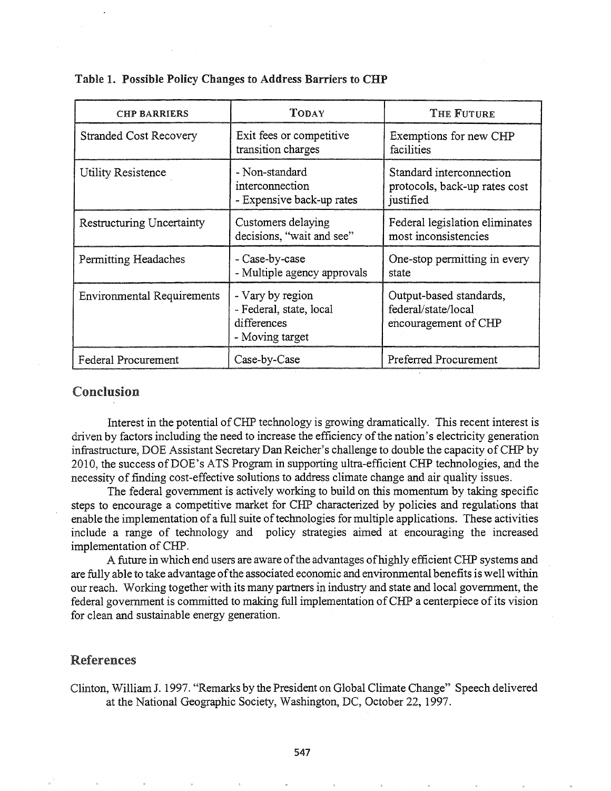| <b>CHP BARRIERS</b>               | TODAY                                                                         | THE FUTURE                                                             |
|-----------------------------------|-------------------------------------------------------------------------------|------------------------------------------------------------------------|
| <b>Stranded Cost Recovery</b>     | Exit fees or competitive<br>transition charges                                | Exemptions for new CHP<br>facilities                                   |
| Utility Resistence                | - Non-standard<br>interconnection<br>- Expensive back-up rates                | Standard interconnection<br>protocols, back-up rates cost<br>justified |
| Restructuring Uncertainty         | Customers delaying<br>decisions, "wait and see"                               | Federal legislation eliminates<br>most inconsistencies                 |
| Permitting Headaches              | - Case-by-case<br>- Multiple agency approvals                                 | One-stop permitting in every<br>state                                  |
| <b>Environmental Requirements</b> | - Vary by region<br>- Federal, state, local<br>differences<br>- Moving target | Output-based standards,<br>federal/state/local<br>encouragement of CHP |
| Federal Procurement               | Case-by-Case                                                                  | Preferred Procurement                                                  |

#### Table 1. Possible Policy Changes to Address Barriers to CHP

# Conclusion

Interest in the potential of CHP technology is growing dramatically. This recent interest is driven by factors including the need to increase the efficiency of the nation's electricity generation infrastructure, DOE Assistant Secretary Dan Reicher's challenge to double the capacity of CHP by 2010, the success ofDOE's ATS Program in supporting ultra-efficient CHP technologies, and the necessity of finding cost-effective solutions to address climate change and air quality issues.

The federal government is actively working to build on this momentum by taking specific steps to encourage a competitive market for CHP characterized by policies and regulations that enable the implementation of a full suite of technologies for multiple applications. These activities include a range of technology and policy strategies aimed at encouraging the increased implementation of CHP.

A future in which end users are aware of the advantages of highly efficient CHP systems and are fully able to take advantage of the associated economic and environmental benefits is well within our reach. Working together with its many partners in industry and state and local government, the federal government is committed to making full implementation of CHP a centerpiece of its vision for clean and sustainable energy generation.

## .References

Clinton, William J. 1997. "Remarks by the President on Global Climate Change" Speech delivered at the National Geographic Society, Washington, DC, October 22, 1997.